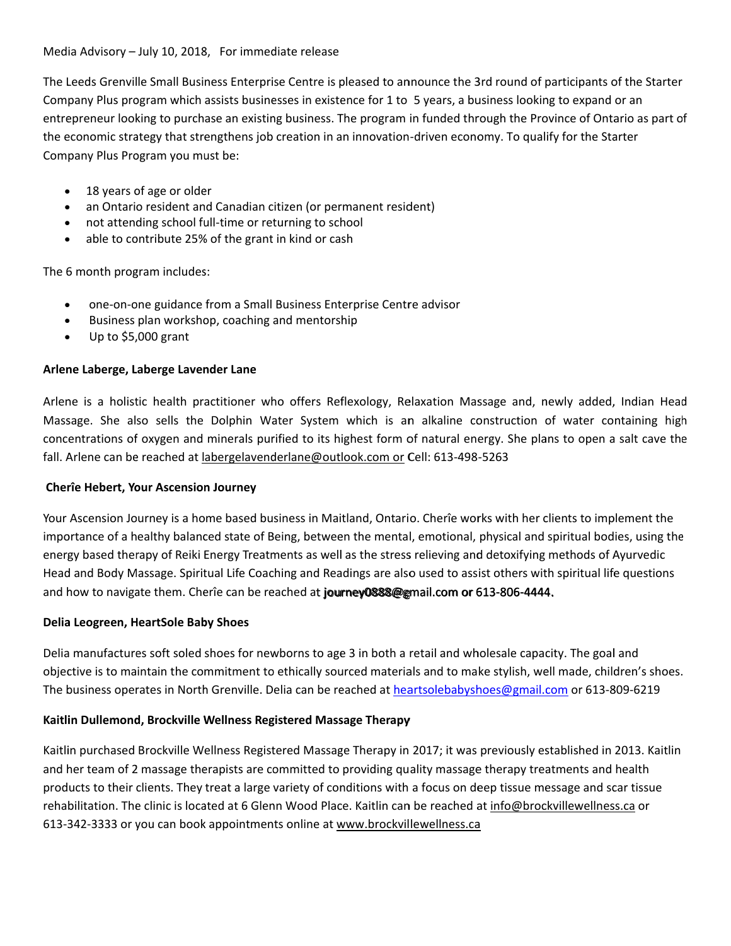## Media Advisory - July 10, 2018, For immediate release

The Leeds Grenville Small Business Enterprise Centre is pleased to announce the 3rd round of participants of the Starter Company Plus program which assists businesses in existence for 1 to 5 years, a business looking to expand or an entrepreneur looking to purchase an existing business. The program in funded through the Province of Ontario as part of the economic strategy that strengthens job creation in an innovation-driven economy. To qualify for the Starter Company Plus Program you must be:

- 18 years of age or older
- an Ontario resident and Canadian citizen (or permanent resident)
- not attending school full-time or returning to school
- able to contribute 25% of the grant in kind or cash

The 6 month program includes:

- one-on-one guidance from a Small Business Enterprise Centre advisor
- Business plan workshop, coaching and mentorship
- Up to \$5,000 grant

### Arlene Laberge, Laberge Lavender Lane

Arlene is a holistic health practitioner who offers Reflexology, Relaxation Massage and, newly added, Indian Head Massage. She also sells the Dolphin Water System which is an alkaline construction of water containing high concentrations of oxygen and minerals purified to its highest form of natural energy. She plans to open a salt cave the fall. Arlene can be reached at labergelavenderlane@outlook.com or Cell: 613-498-5263

#### **Cherîe Hebert, Your Ascension Journey**

Your Ascension Journey is a home based business in Maitland, Ontario. Cherîe works with her clients to implement the importance of a healthy balanced state of Being, between the mental, emotional, physical and spiritual bodies, using the energy based therapy of Reiki Energy Treatments as well as the stress relieving and detoxifying methods of Ayurvedic Head and Body Massage. Spiritual Life Coaching and Readings are also used to assist others with spiritual life questions and how to navigate them. Cherie can be reached at journey0888@gmail.com or 613-806-4444.

#### Delia Leogreen, HeartSole Baby Shoes

Delia manufactures soft soled shoes for newborns to age 3 in both a retail and wholesale capacity. The goal and objective is to maintain the commitment to ethically sourced materials and to make stylish, well made, children's shoes. The business operates in North Grenville. Delia can be reached at heartsolebabyshoes@gmail.com or 613-809-6219

#### Kaitlin Dullemond, Brockville Wellness Registered Massage Therapy

Kaitlin purchased Brockville Wellness Registered Massage Therapy in 2017; it was previously established in 2013. Kaitlin and her team of 2 massage therapists are committed to providing quality massage therapy treatments and health products to their clients. They treat a large variety of conditions with a focus on deep tissue message and scar tissue rehabilitation. The clinic is located at 6 Glenn Wood Place. Kaitlin can be reached at info@brockvillewellness.ca or 613-342-3333 or you can book appointments online at www.brockvillewellness.ca